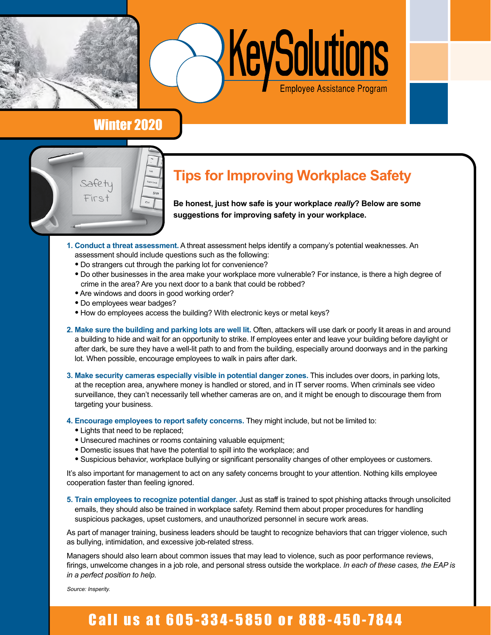



### Winter 2020



## **Tips for Improving Workplace Safety**

**Be honest, just how safe is your workplace** *really***? Below are some suggestions for improving safety in your workplace.**

- **1. Conduct a threat assessment.** A threat assessment helps identify a company's potential weaknesses. An assessment should include questions such as the following:
	- Do strangers cut through the parking lot for convenience?
	- Do other businesses in the area make your workplace more vulnerable? For instance, is there a high degree of crime in the area? Are you next door to a bank that could be robbed?
	- Are windows and doors in good working order?
	- Do employees wear badges?
	- How do employees access the building? With electronic keys or metal keys?
- **2. Make sure the building and parking lots are well lit.** Often, attackers will use dark or poorly lit areas in and around a building to hide and wait for an opportunity to strike. If employees enter and leave your building before daylight or after dark, be sure they have a well-lit path to and from the building, especially around doorways and in the parking lot. When possible, encourage employees to walk in pairs after dark.
- **3. Make security cameras especially visible in potential danger zones.** This includes over doors, in parking lots, at the reception area, anywhere money is handled or stored, and in IT server rooms. When criminals see video surveillance, they can't necessarily tell whether cameras are on, and it might be enough to discourage them from targeting your business.
- **4. Encourage employees to report safety concerns.** They might include, but not be limited to:
	- Lights that need to be replaced;
	- Unsecured machines or rooms containing valuable equipment;
	- Domestic issues that have the potential to spill into the workplace; and
	- Suspicious behavior, workplace bullying or significant personality changes of other employees or customers.

It's also important for management to act on any safety concerns brought to your attention. Nothing kills employee cooperation faster than feeling ignored.

**5. Train employees to recognize potential danger.** Just as staff is trained to spot phishing attacks through unsolicited emails, they should also be trained in workplace safety. Remind them about proper procedures for handling suspicious packages, upset customers, and unauthorized personnel in secure work areas.

As part of manager training, business leaders should be taught to recognize behaviors that can trigger violence, such as bullying, intimidation, and excessive job-related stress.

Managers should also learn about common issues that may lead to violence, such as poor performance reviews, firings, unwelcome changes in a job role, and personal stress outside the workplace. *In each of these cases, the EAP is in a perfect position to help.* 

Source: Insperity.

# Call us at 605-334-5850 or 888-450-7844